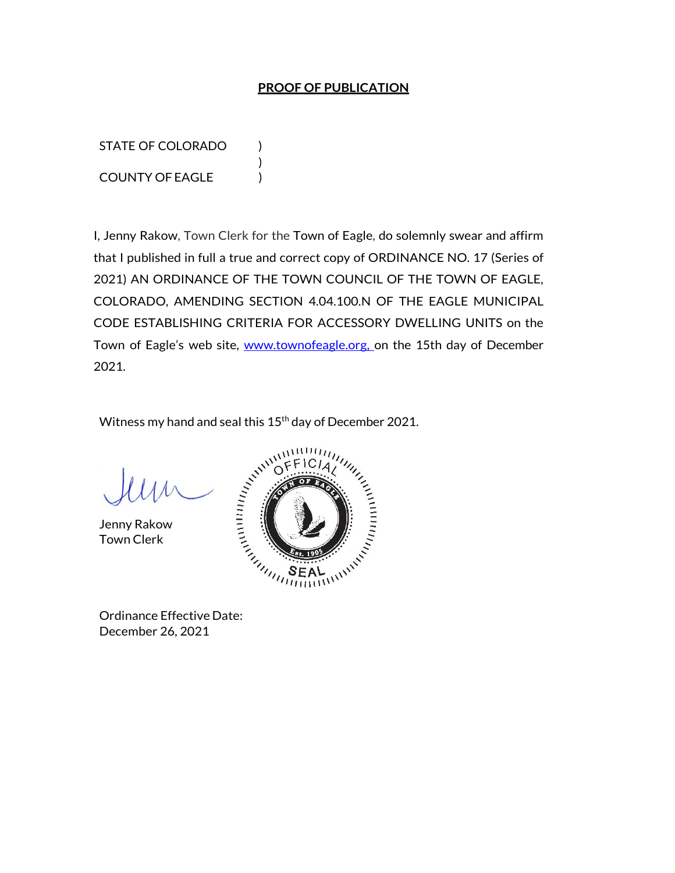## **PROOF OF PUBLICATION**

STATE OF COLORADO ) COUNTY OF EAGLE )

I, Jenny Rakow, Town Clerk for the Town of Eagle, do solemnly swear and affirm that I published in full a true and correct copy of ORDINANCE NO. 17 (Series of 2021) AN ORDINANCE OF THE TOWN COUNCIL OF THE TOWN OF EAGLE, COLORADO, AMENDING SECTION 4.04.100.N OF THE EAGLE MUNICIPAL CODE ESTABLISHING CRITERIA FOR ACCESSORY DWELLING UNITS on the Town of Eagle's web site, www.townofeagle.org, on the 15th day of December 2021.

Witness my hand and seal this 15<sup>th</sup> day of December 2021.

)

Jenny Rakow Town Clerk



Ordinance Effective Date: December 26, 2021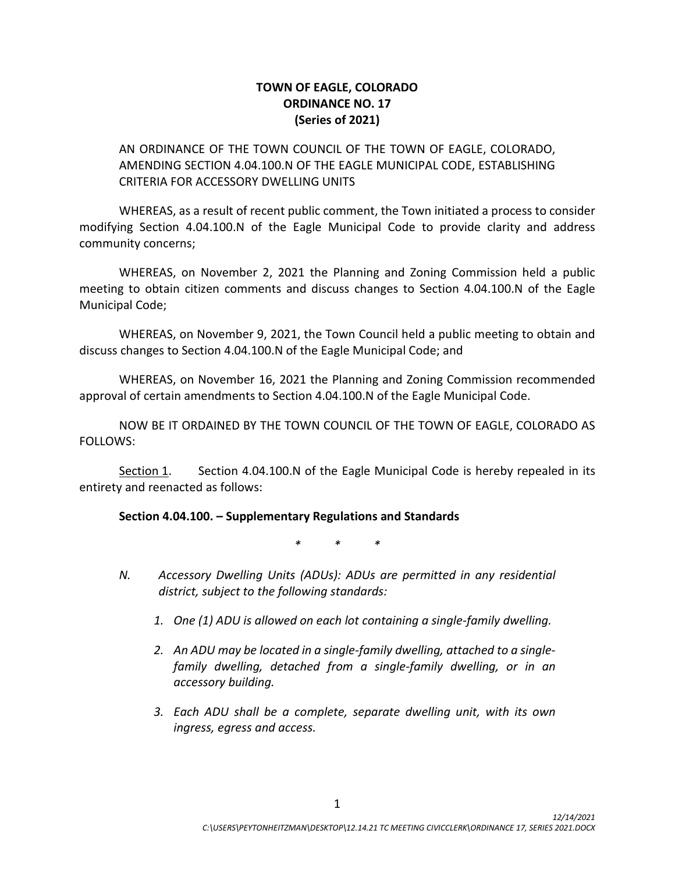## **TOWN OF EAGLE, COLORADO ORDINANCE NO. 17 (Series of 2021)**

## AN ORDINANCE OF THE TOWN COUNCIL OF THE TOWN OF EAGLE, COLORADO, AMENDING SECTION 4.04.100.N OF THE EAGLE MUNICIPAL CODE, ESTABLISHING CRITERIA FOR ACCESSORY DWELLING UNITS

WHEREAS, as a result of recent public comment, the Town initiated a process to consider modifying Section 4.04.100.N of the Eagle Municipal Code to provide clarity and address community concerns;

WHEREAS, on November 2, 2021 the Planning and Zoning Commission held a public meeting to obtain citizen comments and discuss changes to Section 4.04.100.N of the Eagle Municipal Code;

WHEREAS, on November 9, 2021, the Town Council held a public meeting to obtain and discuss changes to Section 4.04.100.N of the Eagle Municipal Code; and

WHEREAS, on November 16, 2021 the Planning and Zoning Commission recommended approval of certain amendments to Section 4.04.100.N of the Eagle Municipal Code.

NOW BE IT ORDAINED BY THE TOWN COUNCIL OF THE TOWN OF EAGLE, COLORADO AS FOLLOWS:

Section 1. Section 4.04.100.N of the Eagle Municipal Code is hereby repealed in its entirety and reenacted as follows:

## **Section 4.04.100. – Supplementary Regulations and Standards**

*\* \* \**

- *N. Accessory Dwelling Units (ADUs): ADUs are permitted in any residential district, subject to the following standards:*
	- *1. One (1) ADU is allowed on each lot containing a single-family dwelling.*
	- *2. An ADU may be located in a single-family dwelling, attached to a singlefamily dwelling, detached from a single-family dwelling, or in an accessory building.*
	- *3. Each ADU shall be a complete, separate dwelling unit, with its own ingress, egress and access.*